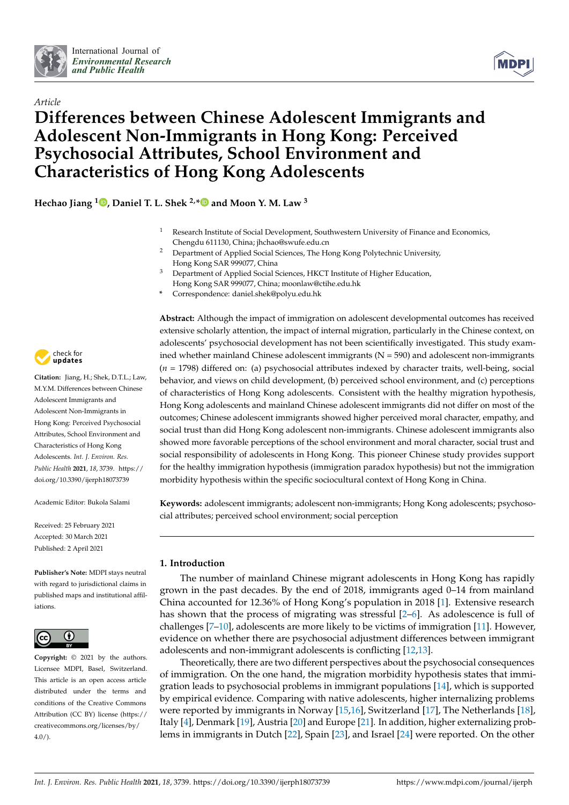



# *Article* **Differences between Chinese Adolescent Immigrants and Adolescent Non-Immigrants in Hong Kong: Perceived Psychosocial Attributes, School Environment and Characteristics of Hong Kong Adolescents**

**Hechao Jiang [1](https://orcid.org/0000-0003-2276-4944) , Daniel T. L. Shek 2,[\\*](https://orcid.org/0000-0003-3359-6229) and Moon Y. M. Law <sup>3</sup>**

- Research Institute of Social Development, Southwestern University of Finance and Economics, Chengdu 611130, China; jhchao@swufe.edu.cn
- <sup>2</sup> Department of Applied Social Sciences, The Hong Kong Polytechnic University, Hong Kong SAR 999077, China
- <sup>3</sup> Department of Applied Social Sciences, HKCT Institute of Higher Education, Hong Kong SAR 999077, China; moonlaw@ctihe.edu.hk
- **\*** Correspondence: daniel.shek@polyu.edu.hk



**Citation:** Jiang, H.; Shek, D.T.L.; Law, M.Y.M. Differences between Chinese Adolescent Immigrants and Adolescent Non-Immigrants in Hong Kong: Perceived Psychosocial Attributes, School Environment and Characteristics of Hong Kong Adolescents. *Int. J. Environ. Res. Public Health* **2021**, *18*, 3739. [https://](https://doi.org/10.3390/ijerph18073739) [doi.org/10.3390/ijerph18073739](https://doi.org/10.3390/ijerph18073739)

Academic Editor: Bukola Salami

Received: 25 February 2021 Accepted: 30 March 2021 Published: 2 April 2021

**Publisher's Note:** MDPI stays neutral with regard to jurisdictional claims in published maps and institutional affiliations.



**Copyright:** © 2021 by the authors. Licensee MDPI, Basel, Switzerland. This article is an open access article distributed under the terms and conditions of the Creative Commons Attribution (CC BY) license (https:/[/](https://creativecommons.org/licenses/by/4.0/) [creativecommons.org/licenses/by/](https://creativecommons.org/licenses/by/4.0/) 4.0/).

**Abstract:** Although the impact of immigration on adolescent developmental outcomes has received extensive scholarly attention, the impact of internal migration, particularly in the Chinese context, on adolescents' psychosocial development has not been scientifically investigated. This study examined whether mainland Chinese adolescent immigrants  $(N = 590)$  and adolescent non-immigrants (*n* = 1798) differed on: (a) psychosocial attributes indexed by character traits, well-being, social behavior, and views on child development, (b) perceived school environment, and (c) perceptions of characteristics of Hong Kong adolescents. Consistent with the healthy migration hypothesis, Hong Kong adolescents and mainland Chinese adolescent immigrants did not differ on most of the outcomes; Chinese adolescent immigrants showed higher perceived moral character, empathy, and social trust than did Hong Kong adolescent non-immigrants. Chinese adolescent immigrants also showed more favorable perceptions of the school environment and moral character, social trust and social responsibility of adolescents in Hong Kong. This pioneer Chinese study provides support for the healthy immigration hypothesis (immigration paradox hypothesis) but not the immigration morbidity hypothesis within the specific sociocultural context of Hong Kong in China.

**Keywords:** adolescent immigrants; adolescent non-immigrants; Hong Kong adolescents; psychosocial attributes; perceived school environment; social perception

# **1. Introduction**

The number of mainland Chinese migrant adolescents in Hong Kong has rapidly grown in the past decades. By the end of 2018, immigrants aged 0–14 from mainland China accounted for 12.36% of Hong Kong's population in 2018 [\[1\]](#page-13-0). Extensive research has shown that the process of migrating was stressful  $[2-6]$  $[2-6]$ . As adolescence is full of challenges [\[7–](#page-13-3)[10\]](#page-13-4), adolescents are more likely to be victims of immigration [\[11\]](#page-13-5). However, evidence on whether there are psychosocial adjustment differences between immigrant adolescents and non-immigrant adolescents is conflicting [\[12](#page-13-6)[,13\]](#page-13-7).

Theoretically, there are two different perspectives about the psychosocial consequences of immigration. On the one hand, the migration morbidity hypothesis states that immigration leads to psychosocial problems in immigrant populations [\[14\]](#page-13-8), which is supported by empirical evidence. Comparing with native adolescents, higher internalizing problems were reported by immigrants in Norway [\[15,](#page-13-9)[16\]](#page-13-10), Switzerland [\[17\]](#page-13-11), The Netherlands [\[18\]](#page-13-12), Italy [\[4\]](#page-13-13), Denmark [\[19\]](#page-13-14), Austria [\[20\]](#page-13-15) and Europe [\[21\]](#page-13-16). In addition, higher externalizing problems in immigrants in Dutch [\[22\]](#page-13-17), Spain [\[23\]](#page-14-0), and Israel [\[24\]](#page-14-1) were reported. On the other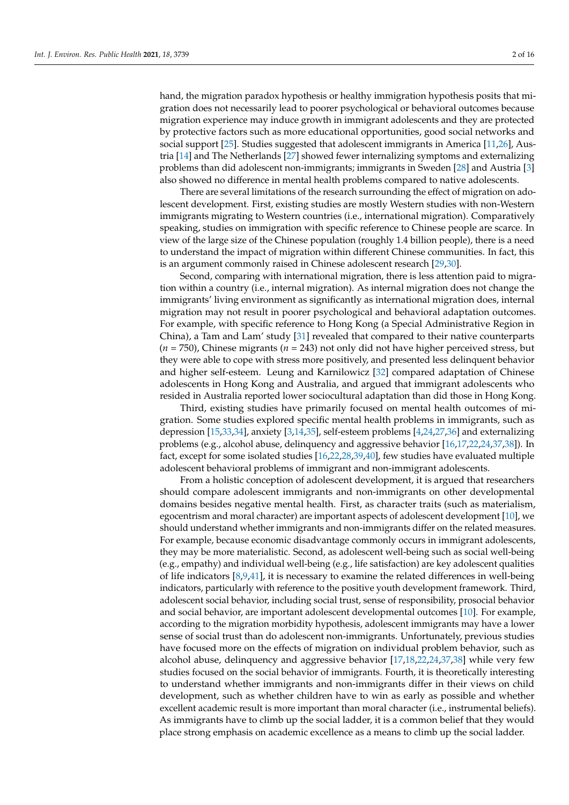hand, the migration paradox hypothesis or healthy immigration hypothesis posits that migration does not necessarily lead to poorer psychological or behavioral outcomes because migration experience may induce growth in immigrant adolescents and they are protected by protective factors such as more educational opportunities, good social networks and social support [\[25\]](#page-14-2). Studies suggested that adolescent immigrants in America [\[11,](#page-13-5)[26\]](#page-14-3), Austria [\[14\]](#page-13-8) and The Netherlands [\[27\]](#page-14-4) showed fewer internalizing symptoms and externalizing problems than did adolescent non-immigrants; immigrants in Sweden [\[28\]](#page-14-5) and Austria [\[3\]](#page-13-18) also showed no difference in mental health problems compared to native adolescents.

There are several limitations of the research surrounding the effect of migration on adolescent development. First, existing studies are mostly Western studies with non-Western immigrants migrating to Western countries (i.e., international migration). Comparatively speaking, studies on immigration with specific reference to Chinese people are scarce. In view of the large size of the Chinese population (roughly 1.4 billion people), there is a need to understand the impact of migration within different Chinese communities. In fact, this is an argument commonly raised in Chinese adolescent research [\[29](#page-14-6)[,30\]](#page-14-7).

Second, comparing with international migration, there is less attention paid to migration within a country (i.e., internal migration). As internal migration does not change the immigrants' living environment as significantly as international migration does, internal migration may not result in poorer psychological and behavioral adaptation outcomes. For example, with specific reference to Hong Kong (a Special Administrative Region in China), a Tam and Lam' study [\[31\]](#page-14-8) revealed that compared to their native counterparts (*n* = 750), Chinese migrants (*n* = 243) not only did not have higher perceived stress, but they were able to cope with stress more positively, and presented less delinquent behavior and higher self-esteem. Leung and Karnilowicz [\[32\]](#page-14-9) compared adaptation of Chinese adolescents in Hong Kong and Australia, and argued that immigrant adolescents who resided in Australia reported lower sociocultural adaptation than did those in Hong Kong.

Third, existing studies have primarily focused on mental health outcomes of migration. Some studies explored specific mental health problems in immigrants, such as depression [\[15,](#page-13-9)[33](#page-14-10)[,34\]](#page-14-11), anxiety [\[3,](#page-13-18)[14](#page-13-8)[,35\]](#page-14-12), self-esteem problems [\[4,](#page-13-13)[24,](#page-14-1)[27](#page-14-4)[,36\]](#page-14-13) and externalizing problems (e.g., alcohol abuse, delinquency and aggressive behavior [\[16](#page-13-10)[,17](#page-13-11)[,22](#page-13-17)[,24,](#page-14-1)[37,](#page-14-14)[38\]](#page-14-15)). In fact, except for some isolated studies [\[16,](#page-13-10)[22](#page-13-17)[,28,](#page-14-5)[39,](#page-14-16)[40\]](#page-14-17), few studies have evaluated multiple adolescent behavioral problems of immigrant and non-immigrant adolescents.

From a holistic conception of adolescent development, it is argued that researchers should compare adolescent immigrants and non-immigrants on other developmental domains besides negative mental health. First, as character traits (such as materialism, egocentrism and moral character) are important aspects of adolescent development [\[10\]](#page-13-4), we should understand whether immigrants and non-immigrants differ on the related measures. For example, because economic disadvantage commonly occurs in immigrant adolescents, they may be more materialistic. Second, as adolescent well-being such as social well-being (e.g., empathy) and individual well-being (e.g., life satisfaction) are key adolescent qualities of life indicators [\[8,](#page-13-19)[9,](#page-13-20)[41\]](#page-14-18), it is necessary to examine the related differences in well-being indicators, particularly with reference to the positive youth development framework. Third, adolescent social behavior, including social trust, sense of responsibility, prosocial behavior and social behavior, are important adolescent developmental outcomes [\[10\]](#page-13-4). For example, according to the migration morbidity hypothesis, adolescent immigrants may have a lower sense of social trust than do adolescent non-immigrants. Unfortunately, previous studies have focused more on the effects of migration on individual problem behavior, such as alcohol abuse, delinquency and aggressive behavior [\[17,](#page-13-11)[18,](#page-13-12)[22,](#page-13-17)[24,](#page-14-1)[37,](#page-14-14)[38\]](#page-14-15) while very few studies focused on the social behavior of immigrants. Fourth, it is theoretically interesting to understand whether immigrants and non-immigrants differ in their views on child development, such as whether children have to win as early as possible and whether excellent academic result is more important than moral character (i.e., instrumental beliefs). As immigrants have to climb up the social ladder, it is a common belief that they would place strong emphasis on academic excellence as a means to climb up the social ladder.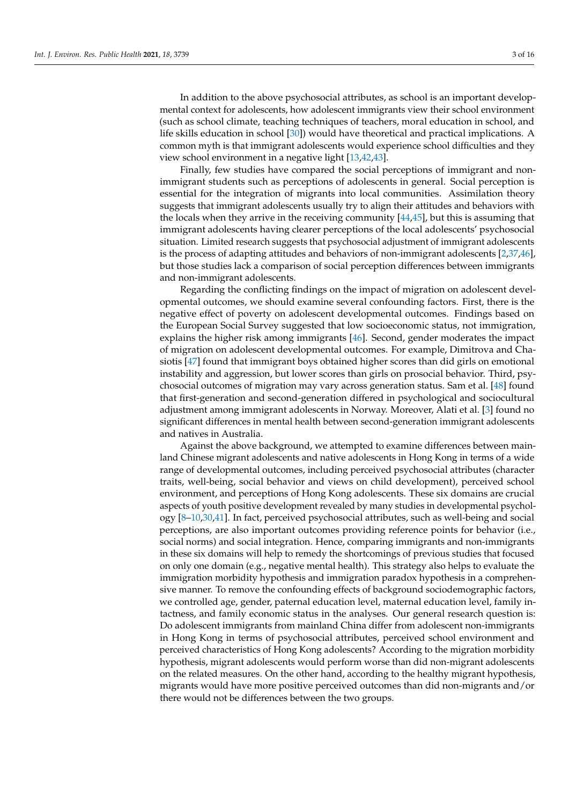In addition to the above psychosocial attributes, as school is an important developmental context for adolescents, how adolescent immigrants view their school environment (such as school climate, teaching techniques of teachers, moral education in school, and life skills education in school [\[30\]](#page-14-7)) would have theoretical and practical implications. A common myth is that immigrant adolescents would experience school difficulties and they view school environment in a negative light [\[13](#page-13-7)[,42](#page-14-19)[,43\]](#page-14-20).

Finally, few studies have compared the social perceptions of immigrant and nonimmigrant students such as perceptions of adolescents in general. Social perception is essential for the integration of migrants into local communities. Assimilation theory suggests that immigrant adolescents usually try to align their attitudes and behaviors with the locals when they arrive in the receiving community [\[44,](#page-14-21)[45\]](#page-14-22), but this is assuming that immigrant adolescents having clearer perceptions of the local adolescents' psychosocial situation. Limited research suggests that psychosocial adjustment of immigrant adolescents is the process of adapting attitudes and behaviors of non-immigrant adolescents [\[2](#page-13-1)[,37](#page-14-14)[,46\]](#page-14-23), but those studies lack a comparison of social perception differences between immigrants and non-immigrant adolescents.

Regarding the conflicting findings on the impact of migration on adolescent developmental outcomes, we should examine several confounding factors. First, there is the negative effect of poverty on adolescent developmental outcomes. Findings based on the European Social Survey suggested that low socioeconomic status, not immigration, explains the higher risk among immigrants [\[46\]](#page-14-23). Second, gender moderates the impact of migration on adolescent developmental outcomes. For example, Dimitrova and Chasiotis [\[47\]](#page-14-24) found that immigrant boys obtained higher scores than did girls on emotional instability and aggression, but lower scores than girls on prosocial behavior. Third, psychosocial outcomes of migration may vary across generation status. Sam et al. [\[48\]](#page-14-25) found that first-generation and second-generation differed in psychological and sociocultural adjustment among immigrant adolescents in Norway. Moreover, Alati et al. [\[3\]](#page-13-18) found no significant differences in mental health between second-generation immigrant adolescents and natives in Australia.

Against the above background, we attempted to examine differences between mainland Chinese migrant adolescents and native adolescents in Hong Kong in terms of a wide range of developmental outcomes, including perceived psychosocial attributes (character traits, well-being, social behavior and views on child development), perceived school environment, and perceptions of Hong Kong adolescents. These six domains are crucial aspects of youth positive development revealed by many studies in developmental psychology [\[8–](#page-13-19)[10](#page-13-4)[,30](#page-14-7)[,41\]](#page-14-18). In fact, perceived psychosocial attributes, such as well-being and social perceptions, are also important outcomes providing reference points for behavior (i.e., social norms) and social integration. Hence, comparing immigrants and non-immigrants in these six domains will help to remedy the shortcomings of previous studies that focused on only one domain (e.g., negative mental health). This strategy also helps to evaluate the immigration morbidity hypothesis and immigration paradox hypothesis in a comprehensive manner. To remove the confounding effects of background sociodemographic factors, we controlled age, gender, paternal education level, maternal education level, family intactness, and family economic status in the analyses. Our general research question is: Do adolescent immigrants from mainland China differ from adolescent non-immigrants in Hong Kong in terms of psychosocial attributes, perceived school environment and perceived characteristics of Hong Kong adolescents? According to the migration morbidity hypothesis, migrant adolescents would perform worse than did non-migrant adolescents on the related measures. On the other hand, according to the healthy migrant hypothesis, migrants would have more positive perceived outcomes than did non-migrants and/or there would not be differences between the two groups.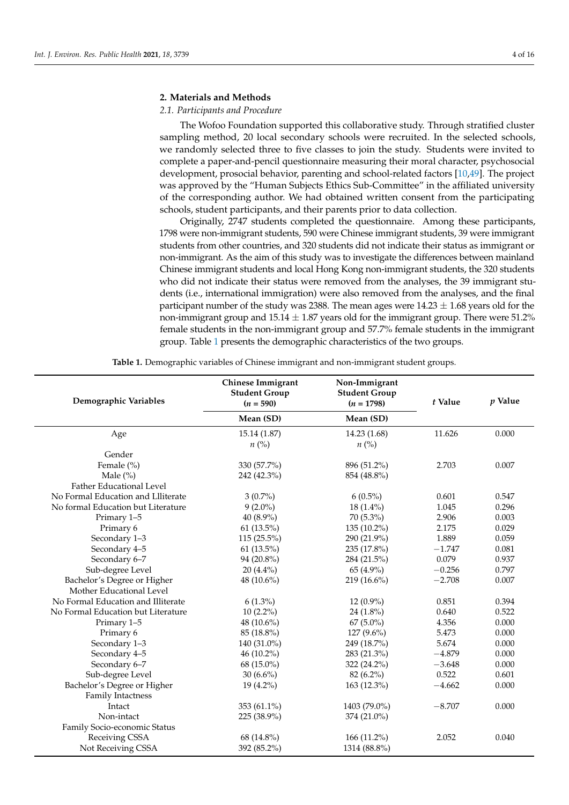## **2. Materials and Methods**

# *2.1. Participants and Procedure*

The Wofoo Foundation supported this collaborative study. Through stratified cluster sampling method, 20 local secondary schools were recruited. In the selected schools, we randomly selected three to five classes to join the study. Students were invited to complete a paper-and-pencil questionnaire measuring their moral character, psychosocial development, prosocial behavior, parenting and school-related factors [\[10,](#page-13-4)[49\]](#page-14-26). The project was approved by the "Human Subjects Ethics Sub-Committee" in the affiliated university of the corresponding author. We had obtained written consent from the participating schools, student participants, and their parents prior to data collection.

Originally, 2747 students completed the questionnaire. Among these participants, 1798 were non-immigrant students, 590 were Chinese immigrant students, 39 were immigrant students from other countries, and 320 students did not indicate their status as immigrant or non-immigrant. As the aim of this study was to investigate the differences between mainland Chinese immigrant students and local Hong Kong non-immigrant students, the 320 students who did not indicate their status were removed from the analyses, the 39 immigrant students (i.e., international immigration) were also removed from the analyses, and the final participant number of the study was 2388. The mean ages were  $14.23 \pm 1.68$  years old for the non-immigrant group and  $15.14 \pm 1.87$  years old for the immigrant group. There were 51.2% female students in the non-immigrant group and 57.7% female students in the immigrant group. Table [1](#page-3-0) presents the demographic characteristics of the two groups.

<span id="page-3-0"></span>

| Demographic Variables              | Chinese Immigrant<br><b>Student Group</b><br>$(n = 590)$ | Non-Immigrant<br><b>Student Group</b><br>t Value<br>$(n = 1798)$ |          | $p$ Value |
|------------------------------------|----------------------------------------------------------|------------------------------------------------------------------|----------|-----------|
|                                    | Mean (SD)                                                | Mean (SD)                                                        |          |           |
| Age                                | 15.14 (1.87)                                             | 14.23 (1.68)                                                     | 11.626   | 0.000     |
|                                    | $n\left(\%\right)$                                       | $n\left(\%\right)$                                               |          |           |
| Gender                             |                                                          |                                                                  |          |           |
| Female (%)                         | 330 (57.7%)                                              | 896 (51.2%)                                                      | 2.703    | 0.007     |
| Male $(\%)$                        | 242 (42.3%)                                              | 854 (48.8%)                                                      |          |           |
| Father Educational Level           |                                                          |                                                                  |          |           |
| No Formal Education and Llliterate | $3(0.7\%)$                                               | $6(0.5\%)$                                                       | 0.601    | 0.547     |
| No formal Education but Literature | $9(2.0\%)$                                               | $18(1.4\%)$                                                      | 1.045    | 0.296     |
| Primary 1-5                        | 40 (8.9%)                                                | 70 (5.3%)                                                        | 2.906    | 0.003     |
| Primary 6                          | $61(13.5\%)$                                             | 135 (10.2%)                                                      | 2.175    | 0.029     |
| Secondary 1-3                      | $115(25.5\%)$                                            | 290 (21.9%)                                                      | 1.889    | 0.059     |
| Secondary 4-5                      | $61(13.5\%)$                                             | 235 (17.8%)                                                      | $-1.747$ | 0.081     |
| Secondary 6-7                      | $94(20.8\%)$                                             | 284 (21.5%)                                                      | 0.079    | 0.937     |
| Sub-degree Level                   | $20(4.4\%)$                                              | 65 (4.9%)                                                        | $-0.256$ | 0.797     |
| Bachelor's Degree or Higher        | 48 (10.6%)                                               | 219 (16.6%)                                                      | $-2.708$ | 0.007     |
| Mother Educational Level           |                                                          |                                                                  |          |           |
| No Formal Education and Illiterate | $6(1.3\%)$                                               | 12 (0.9%)                                                        | 0.851    | 0.394     |
| No Formal Education but Literature | $10(2.2\%)$                                              | $24(1.8\%)$                                                      | 0.640    | 0.522     |
| Primary 1-5                        | 48 (10.6%)                                               | $67(5.0\%)$                                                      | 4.356    | 0.000     |
| Primary 6                          | 85 (18.8%)                                               | 127 (9.6%)                                                       | 5.473    | 0.000     |
| Secondary 1-3                      | 140 (31.0%)                                              | 249 (18.7%)                                                      | 5.674    | 0.000     |
| Secondary 4-5                      | 46 (10.2%)                                               | 283 (21.3%)                                                      | $-4.879$ | 0.000     |
| Secondary 6-7                      | 68 (15.0%)                                               | 322 (24.2%)                                                      | $-3.648$ | 0.000     |
| Sub-degree Level                   | $30(6.6\%)$                                              | 82 (6.2%)                                                        | 0.522    | 0.601     |
| Bachelor's Degree or Higher        | 19 (4.2%)                                                | 163 (12.3%)                                                      | $-4.662$ | 0.000     |
| <b>Family Intactness</b>           |                                                          |                                                                  |          |           |
| Intact                             | 353 (61.1%)                                              | 1403 (79.0%)                                                     | $-8.707$ | 0.000     |
| Non-intact                         | 225 (38.9%)                                              | 374 (21.0%)                                                      |          |           |
| Family Socio-economic Status       |                                                          |                                                                  |          |           |
| Receiving CSSA                     | 68 (14.8%)                                               | 166 (11.2%)                                                      | 2.052    | 0.040     |
| Not Receiving CSSA                 | 392 (85.2%)                                              | 1314 (88.8%)                                                     |          |           |

**Table 1.** Demographic variables of Chinese immigrant and non-immigrant student groups.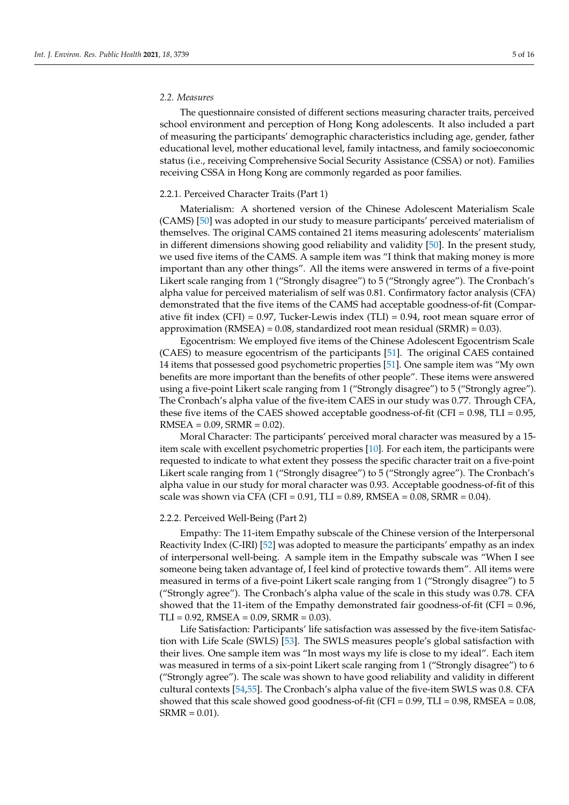# *2.2. Measures*

The questionnaire consisted of different sections measuring character traits, perceived school environment and perception of Hong Kong adolescents. It also included a part of measuring the participants' demographic characteristics including age, gender, father educational level, mother educational level, family intactness, and family socioeconomic status (i.e., receiving Comprehensive Social Security Assistance (CSSA) or not). Families receiving CSSA in Hong Kong are commonly regarded as poor families.

# 2.2.1. Perceived Character Traits (Part 1)

Materialism: A shortened version of the Chinese Adolescent Materialism Scale (CAMS) [\[50\]](#page-14-27) was adopted in our study to measure participants' perceived materialism of themselves. The original CAMS contained 21 items measuring adolescents' materialism in different dimensions showing good reliability and validity [\[50\]](#page-14-27). In the present study, we used five items of the CAMS. A sample item was "I think that making money is more important than any other things". All the items were answered in terms of a five-point Likert scale ranging from 1 ("Strongly disagree") to 5 ("Strongly agree"). The Cronbach's alpha value for perceived materialism of self was 0.81. Confirmatory factor analysis (CFA) demonstrated that the five items of the CAMS had acceptable goodness-of-fit (Comparative fit index (CFI) =  $0.97$ , Tucker-Lewis index (TLI) =  $0.94$ , root mean square error of approximation (RMSEA) =  $0.08$ , standardized root mean residual (SRMR) =  $0.03$ ).

Egocentrism: We employed five items of the Chinese Adolescent Egocentrism Scale (CAES) to measure egocentrism of the participants [\[51\]](#page-14-28). The original CAES contained 14 items that possessed good psychometric properties [\[51\]](#page-14-28). One sample item was "My own benefits are more important than the benefits of other people". These items were answered using a five-point Likert scale ranging from 1 ("Strongly disagree") to 5 ("Strongly agree"). The Cronbach's alpha value of the five-item CAES in our study was 0.77. Through CFA, these five items of the CAES showed acceptable goodness-of-fit (CFI =  $0.98$ , TLI =  $0.95$ ,  $RMSEA = 0.09$ ,  $SRMR = 0.02$ ).

Moral Character: The participants' perceived moral character was measured by a 15 item scale with excellent psychometric properties [\[10\]](#page-13-4). For each item, the participants were requested to indicate to what extent they possess the specific character trait on a five-point Likert scale ranging from 1 ("Strongly disagree") to 5 ("Strongly agree"). The Cronbach's alpha value in our study for moral character was 0.93. Acceptable goodness-of-fit of this scale was shown via CFA (CFI = 0.91, TLI = 0.89, RMSEA = 0.08, SRMR = 0.04).

#### 2.2.2. Perceived Well-Being (Part 2)

Empathy: The 11-item Empathy subscale of the Chinese version of the Interpersonal Reactivity Index (C-IRI) [\[52\]](#page-14-29) was adopted to measure the participants' empathy as an index of interpersonal well-being. A sample item in the Empathy subscale was "When I see someone being taken advantage of, I feel kind of protective towards them". All items were measured in terms of a five-point Likert scale ranging from 1 ("Strongly disagree") to 5 ("Strongly agree"). The Cronbach's alpha value of the scale in this study was 0.78. CFA showed that the 11-item of the Empathy demonstrated fair goodness-of-fit (CFI  $= 0.96$ ,  $TLI = 0.92$ , RMSEA = 0.09, SRMR = 0.03).

Life Satisfaction: Participants' life satisfaction was assessed by the five-item Satisfaction with Life Scale (SWLS) [\[53\]](#page-15-0). The SWLS measures people's global satisfaction with their lives. One sample item was "In most ways my life is close to my ideal". Each item was measured in terms of a six-point Likert scale ranging from 1 ("Strongly disagree") to 6 ("Strongly agree"). The scale was shown to have good reliability and validity in different cultural contexts [\[54](#page-15-1)[,55\]](#page-15-2). The Cronbach's alpha value of the five-item SWLS was 0.8. CFA showed that this scale showed good goodness-of-fit (CFI =  $0.99$ , TLI =  $0.98$ , RMSEA =  $0.08$ ,  $SRMR = 0.01$ ).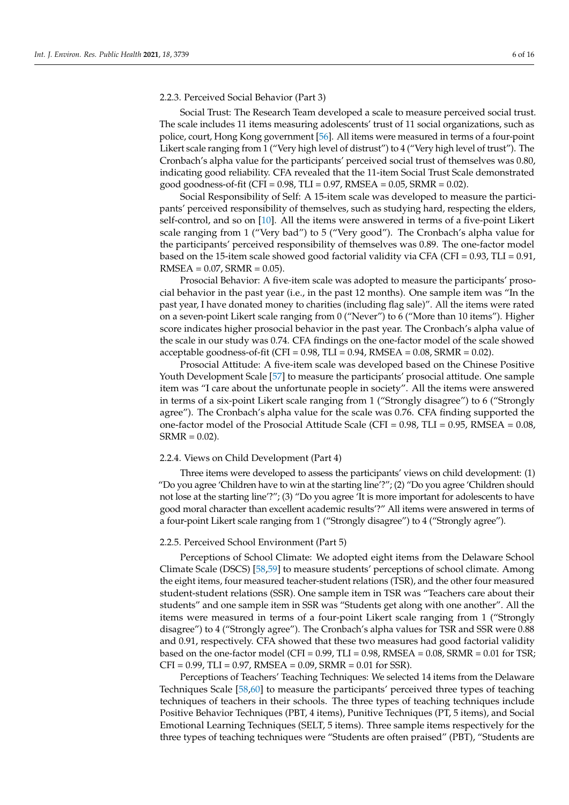## 2.2.3. Perceived Social Behavior (Part 3)

Social Trust: The Research Team developed a scale to measure perceived social trust. The scale includes 11 items measuring adolescents' trust of 11 social organizations, such as police, court, Hong Kong government [\[56\]](#page-15-3). All items were measured in terms of a four-point Likert scale ranging from 1 ("Very high level of distrust") to 4 ("Very high level of trust"). The Cronbach's alpha value for the participants' perceived social trust of themselves was 0.80, indicating good reliability. CFA revealed that the 11-item Social Trust Scale demonstrated good goodness-of-fit (CFI = 0.98, TLI = 0.97, RMSEA = 0.05, SRMR = 0.02).

Social Responsibility of Self: A 15-item scale was developed to measure the participants' perceived responsibility of themselves, such as studying hard, respecting the elders, self-control, and so on [\[10\]](#page-13-4). All the items were answered in terms of a five-point Likert scale ranging from 1 ("Very bad") to 5 ("Very good"). The Cronbach's alpha value for the participants' perceived responsibility of themselves was 0.89. The one-factor model based on the 15-item scale showed good factorial validity via CFA (CFI =  $0.93$ , TLI =  $0.91$ ,  $RMSEA = 0.07$ ,  $SRMR = 0.05$ ).

Prosocial Behavior: A five-item scale was adopted to measure the participants' prosocial behavior in the past year (i.e., in the past 12 months). One sample item was "In the past year, I have donated money to charities (including flag sale)". All the items were rated on a seven-point Likert scale ranging from 0 ("Never") to 6 ("More than 10 items"). Higher score indicates higher prosocial behavior in the past year. The Cronbach's alpha value of the scale in our study was 0.74. CFA findings on the one-factor model of the scale showed acceptable goodness-of-fit (CFI =  $0.98$ , TLI =  $0.94$ , RMSEA =  $0.08$ , SRMR =  $0.02$ ).

Prosocial Attitude: A five-item scale was developed based on the Chinese Positive Youth Development Scale [\[57\]](#page-15-4) to measure the participants' prosocial attitude. One sample item was "I care about the unfortunate people in society". All the items were answered in terms of a six-point Likert scale ranging from 1 ("Strongly disagree") to 6 ("Strongly agree"). The Cronbach's alpha value for the scale was 0.76. CFA finding supported the one-factor model of the Prosocial Attitude Scale (CFI =  $0.98$ , TLI =  $0.95$ , RMSEA =  $0.08$ ,  $SRMR = 0.02$ .

# 2.2.4. Views on Child Development (Part 4)

Three items were developed to assess the participants' views on child development: (1) "Do you agree 'Children have to win at the starting line'?"; (2) "Do you agree 'Children should not lose at the starting line'?"; (3) "Do you agree 'It is more important for adolescents to have good moral character than excellent academic results'?" All items were answered in terms of a four-point Likert scale ranging from 1 ("Strongly disagree") to 4 ("Strongly agree").

# 2.2.5. Perceived School Environment (Part 5)

Perceptions of School Climate: We adopted eight items from the Delaware School Climate Scale (DSCS) [\[58](#page-15-5)[,59\]](#page-15-6) to measure students' perceptions of school climate. Among the eight items, four measured teacher-student relations (TSR), and the other four measured student-student relations (SSR). One sample item in TSR was "Teachers care about their students" and one sample item in SSR was "Students get along with one another". All the items were measured in terms of a four-point Likert scale ranging from 1 ("Strongly disagree") to 4 ("Strongly agree"). The Cronbach's alpha values for TSR and SSR were 0.88 and 0.91, respectively. CFA showed that these two measures had good factorial validity based on the one-factor model (CFI =  $0.99$ , TLI =  $0.98$ , RMSEA =  $0.08$ , SRMR =  $0.01$  for TSR;  $CFI = 0.99$ ,  $TLI = 0.97$ ,  $RMSEA = 0.09$ ,  $SRMR = 0.01$  for  $SSR$ ).

Perceptions of Teachers' Teaching Techniques: We selected 14 items from the Delaware Techniques Scale [\[58](#page-15-5)[,60\]](#page-15-7) to measure the participants' perceived three types of teaching techniques of teachers in their schools. The three types of teaching techniques include Positive Behavior Techniques (PBT, 4 items), Punitive Techniques (PT, 5 items), and Social Emotional Learning Techniques (SELT, 5 items). Three sample items respectively for the three types of teaching techniques were "Students are often praised" (PBT), "Students are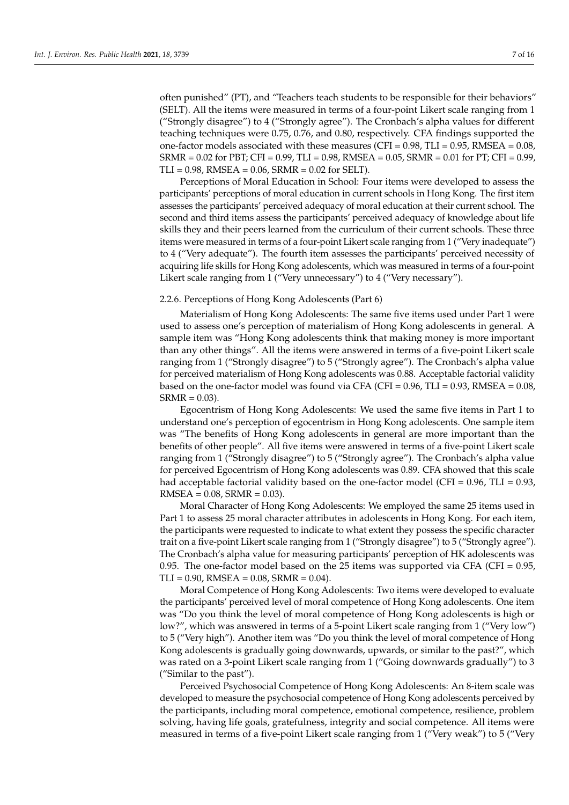often punished" (PT), and "Teachers teach students to be responsible for their behaviors" (SELT). All the items were measured in terms of a four-point Likert scale ranging from 1 ("Strongly disagree") to 4 ("Strongly agree"). The Cronbach's alpha values for different teaching techniques were 0.75, 0.76, and 0.80, respectively. CFA findings supported the one-factor models associated with these measures (CFI =  $0.98$ , TLI =  $0.95$ , RMSEA =  $0.08$ , SRMR = 0.02 for PBT; CFI = 0.99, TLI = 0.98, RMSEA = 0.05, SRMR = 0.01 for PT; CFI = 0.99, TLI = 0.98, RMSEA = 0.06, SRMR = 0.02 for SELT).

Perceptions of Moral Education in School: Four items were developed to assess the participants' perceptions of moral education in current schools in Hong Kong. The first item assesses the participants' perceived adequacy of moral education at their current school. The second and third items assess the participants' perceived adequacy of knowledge about life skills they and their peers learned from the curriculum of their current schools. These three items were measured in terms of a four-point Likert scale ranging from 1 ("Very inadequate") to 4 ("Very adequate"). The fourth item assesses the participants' perceived necessity of acquiring life skills for Hong Kong adolescents, which was measured in terms of a four-point Likert scale ranging from 1 ("Very unnecessary") to 4 ("Very necessary").

## 2.2.6. Perceptions of Hong Kong Adolescents (Part 6)

Materialism of Hong Kong Adolescents: The same five items used under Part 1 were used to assess one's perception of materialism of Hong Kong adolescents in general. A sample item was "Hong Kong adolescents think that making money is more important than any other things". All the items were answered in terms of a five-point Likert scale ranging from 1 ("Strongly disagree") to 5 ("Strongly agree"). The Cronbach's alpha value for perceived materialism of Hong Kong adolescents was 0.88. Acceptable factorial validity based on the one-factor model was found via CFA (CFI =  $0.96$ , TLI =  $0.93$ , RMSEA =  $0.08$ ,  $SRMR = 0.03$ ).

Egocentrism of Hong Kong Adolescents: We used the same five items in Part 1 to understand one's perception of egocentrism in Hong Kong adolescents. One sample item was "The benefits of Hong Kong adolescents in general are more important than the benefits of other people". All five items were answered in terms of a five-point Likert scale ranging from 1 ("Strongly disagree") to 5 ("Strongly agree"). The Cronbach's alpha value for perceived Egocentrism of Hong Kong adolescents was 0.89. CFA showed that this scale had acceptable factorial validity based on the one-factor model (CFI =  $0.96$ , TLI =  $0.93$ ,  $RMSEA = 0.08$ ,  $SRMR = 0.03$ ).

Moral Character of Hong Kong Adolescents: We employed the same 25 items used in Part 1 to assess 25 moral character attributes in adolescents in Hong Kong. For each item, the participants were requested to indicate to what extent they possess the specific character trait on a five-point Likert scale ranging from 1 ("Strongly disagree") to 5 ("Strongly agree"). The Cronbach's alpha value for measuring participants' perception of HK adolescents was 0.95. The one-factor model based on the 25 items was supported via CFA (CFI  $= 0.95$ ,  $TLI = 0.90$ , RMSEA = 0.08, SRMR = 0.04).

Moral Competence of Hong Kong Adolescents: Two items were developed to evaluate the participants' perceived level of moral competence of Hong Kong adolescents. One item was "Do you think the level of moral competence of Hong Kong adolescents is high or low?", which was answered in terms of a 5-point Likert scale ranging from 1 ("Very low") to 5 ("Very high"). Another item was "Do you think the level of moral competence of Hong Kong adolescents is gradually going downwards, upwards, or similar to the past?", which was rated on a 3-point Likert scale ranging from 1 ("Going downwards gradually") to 3 ("Similar to the past").

Perceived Psychosocial Competence of Hong Kong Adolescents: An 8-item scale was developed to measure the psychosocial competence of Hong Kong adolescents perceived by the participants, including moral competence, emotional competence, resilience, problem solving, having life goals, gratefulness, integrity and social competence. All items were measured in terms of a five-point Likert scale ranging from 1 ("Very weak") to 5 ("Very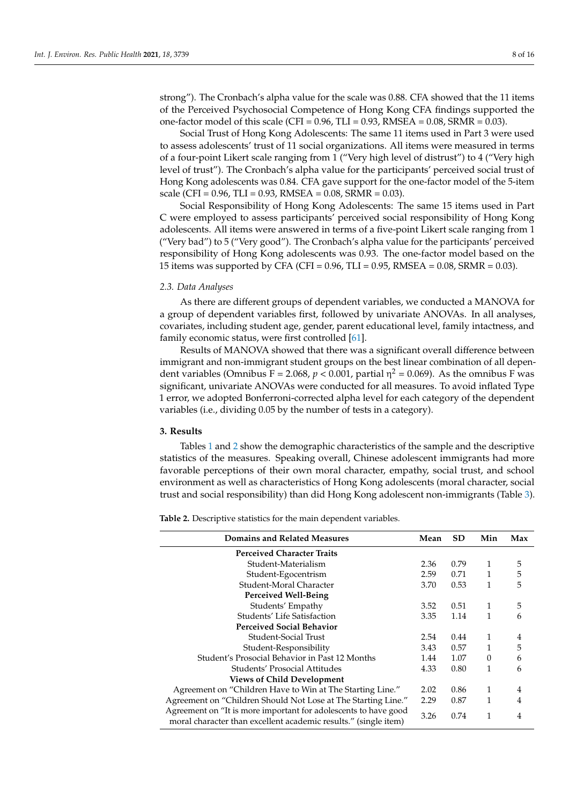strong"). The Cronbach's alpha value for the scale was 0.88. CFA showed that the 11 items of the Perceived Psychosocial Competence of Hong Kong CFA findings supported the one-factor model of this scale (CFI =  $0.96$ , TLI =  $0.93$ , RMSEA =  $0.08$ , SRMR =  $0.03$ ).

Social Trust of Hong Kong Adolescents: The same 11 items used in Part 3 were used to assess adolescents' trust of 11 social organizations. All items were measured in terms of a four-point Likert scale ranging from 1 ("Very high level of distrust") to 4 ("Very high level of trust"). The Cronbach's alpha value for the participants' perceived social trust of Hong Kong adolescents was 0.84. CFA gave support for the one-factor model of the 5-item scale (CFI =  $0.96$ , TLI =  $0.93$ , RMSEA =  $0.08$ , SRMR =  $0.03$ ).

Social Responsibility of Hong Kong Adolescents: The same 15 items used in Part C were employed to assess participants' perceived social responsibility of Hong Kong adolescents. All items were answered in terms of a five-point Likert scale ranging from 1 ("Very bad") to 5 ("Very good"). The Cronbach's alpha value for the participants' perceived responsibility of Hong Kong adolescents was 0.93. The one-factor model based on the 15 items was supported by CFA (CFI = 0.96, TLI = 0.95, RMSEA = 0.08, SRMR = 0.03).

# *2.3. Data Analyses*

As there are different groups of dependent variables, we conducted a MANOVA for a group of dependent variables first, followed by univariate ANOVAs. In all analyses, covariates, including student age, gender, parent educational level, family intactness, and family economic status, were first controlled [\[61\]](#page-15-8).

Results of MANOVA showed that there was a significant overall difference between immigrant and non-immigrant student groups on the best linear combination of all dependent variables (Omnibus F = 2.068,  $p < 0.001$ , partial  $\eta^2 = 0.069$ ). As the omnibus F was significant, univariate ANOVAs were conducted for all measures. To avoid inflated Type 1 error, we adopted Bonferroni-corrected alpha level for each category of the dependent variables (i.e., dividing 0.05 by the number of tests in a category).

#### **3. Results**

Tables [1](#page-3-0) and [2](#page-8-0) show the demographic characteristics of the sample and the descriptive statistics of the measures. Speaking overall, Chinese adolescent immigrants had more favorable perceptions of their own moral character, empathy, social trust, and school environment as well as characteristics of Hong Kong adolescents (moral character, social trust and social responsibility) than did Hong Kong adolescent non-immigrants (Table [3\)](#page-9-0).

**Table 2.** Descriptive statistics for the main dependent variables.

| Domains and Related Measures                                                                                                       | Mean | <b>SD</b> | Min      | Max |
|------------------------------------------------------------------------------------------------------------------------------------|------|-----------|----------|-----|
| <b>Perceived Character Traits</b>                                                                                                  |      |           |          |     |
| Student-Materialism                                                                                                                | 2.36 | 0.79      | 1        | 5   |
| Student-Egocentrism                                                                                                                | 2.59 | 0.71      | 1        | 5   |
| Student-Moral Character                                                                                                            | 3.70 | 0.53      | 1        | 5   |
| Perceived Well-Being                                                                                                               |      |           |          |     |
| Students' Empathy                                                                                                                  | 3.52 | 0.51      | 1        | 5   |
| Students' Life Satisfaction                                                                                                        | 3.35 | 1.14      | 1        | 6   |
| <b>Perceived Social Behavior</b>                                                                                                   |      |           |          |     |
| Student-Social Trust                                                                                                               | 2.54 | 0.44      | 1        | 4   |
| Student-Responsibility                                                                                                             | 3.43 | 0.57      | 1        | 5   |
| Student's Prosocial Behavior in Past 12 Months                                                                                     | 1.44 | 1.07      | $\theta$ | 6   |
| Students' Prosocial Attitudes                                                                                                      | 4.33 | 0.80      | 1        | 6   |
| <b>Views of Child Development</b>                                                                                                  |      |           |          |     |
| Agreement on "Children Have to Win at The Starting Line."                                                                          | 2.02 | 0.86      | 1        | 4   |
| Agreement on "Children Should Not Lose at The Starting Line."                                                                      | 2.29 | 0.87      | 1        | 4   |
| Agreement on "It is more important for adolescents to have good<br>moral character than excellent academic results." (single item) | 3.26 | 0.74      | 1        | 4   |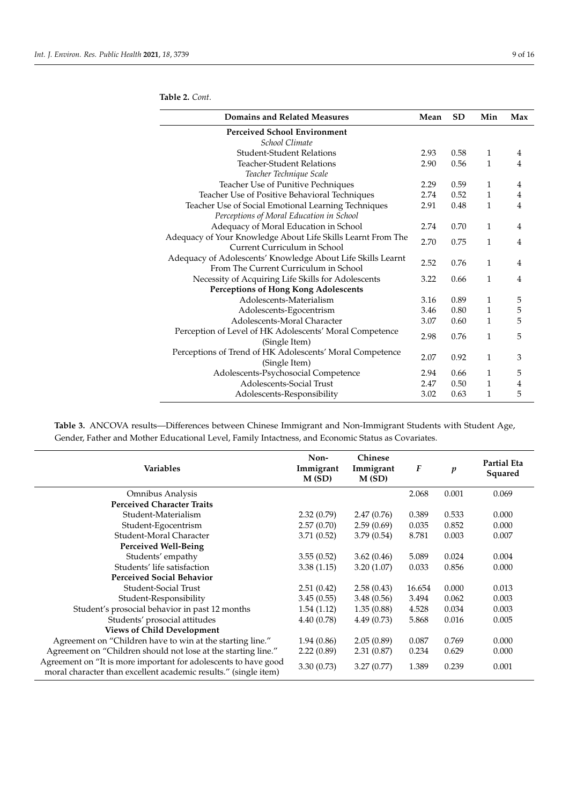| Domains and Related Measures                                 | Mean | <b>SD</b> | Min          | Max            |
|--------------------------------------------------------------|------|-----------|--------------|----------------|
| <b>Perceived School Environment</b>                          |      |           |              |                |
| School Climate                                               |      |           |              |                |
| <b>Student-Student Relations</b>                             | 2.93 | 0.58      | $\mathbf{1}$ | 4              |
| Teacher-Student Relations                                    | 2.90 | 0.56      | 1            | 4              |
| Teacher Technique Scale                                      |      |           |              |                |
| Teacher Use of Punitive Pechniques                           | 2.29 | 0.59      | 1            | $\overline{4}$ |
| Teacher Use of Positive Behavioral Techniques                | 2.74 | 0.52      | $\mathbf{1}$ | 4              |
| Teacher Use of Social Emotional Learning Techniques          | 2.91 | 0.48      | 1            | 4              |
| Perceptions of Moral Education in School                     |      |           |              |                |
| Adequacy of Moral Education in School                        | 2.74 | 0.70      | $\mathbf{1}$ | 4              |
| Adequacy of Your Knowledge About Life Skills Learnt From The | 2.70 |           |              |                |
| Current Curriculum in School                                 |      | 0.75      | 1            | 4              |
| Adequacy of Adolescents' Knowledge About Life Skills Learnt  | 2.52 |           | $\mathbf{1}$ |                |
| From The Current Curriculum in School                        |      | 0.76      |              | $\overline{4}$ |
| Necessity of Acquiring Life Skills for Adolescents           | 3.22 | 0.66      | 1            | 4              |
| <b>Perceptions of Hong Kong Adolescents</b>                  |      |           |              |                |
| Adolescents-Materialism                                      | 3.16 | 0.89      | 1            | 5              |
| Adolescents-Egocentrism                                      | 3.46 | 0.80      | $\mathbf{1}$ | 5              |
| Adolescents-Moral Character                                  | 3.07 | 0.60      | $\mathbf{1}$ | 5              |
| Perception of Level of HK Adolescents' Moral Competence      |      |           |              |                |
| (Single Item)                                                | 2.98 | 0.76      | 1            | 5              |
| Perceptions of Trend of HK Adolescents' Moral Competence     |      |           |              |                |
| (Single Item)                                                | 2.07 | 0.92      | $\mathbf{1}$ | 3              |
| Adolescents-Psychosocial Competence                          | 2.94 | 0.66      | $\mathbf{1}$ | 5              |
| Adolescents-Social Trust                                     | 2.47 | 0.50      | $\mathbf{1}$ | 4              |
| Adolescents-Responsibility                                   | 3.02 | 0.63      | 1            | 5              |
|                                                              |      |           |              |                |

**Table 3.** ANCOVA results—Differences between Chinese Immigrant and Non-Immigrant Students with Student Age, Gender, Father and Mother Educational Level, Family Intactness, and Economic Status as Covariates.

| Variables                                                                                                                          | Non-<br>Immigrant<br>M(SD) | Chinese<br>Immigrant<br>M(SD) | F      | $\boldsymbol{p}$ | <b>Partial Eta</b><br>Squared |
|------------------------------------------------------------------------------------------------------------------------------------|----------------------------|-------------------------------|--------|------------------|-------------------------------|
| Omnibus Analysis                                                                                                                   |                            |                               | 2.068  | 0.001            | 0.069                         |
| <b>Perceived Character Traits</b>                                                                                                  |                            |                               |        |                  |                               |
| Student-Materialism                                                                                                                | 2.32(0.79)                 | 2.47(0.76)                    | 0.389  | 0.533            | 0.000                         |
| Student-Egocentrism                                                                                                                | 2.57(0.70)                 | 2.59(0.69)                    | 0.035  | 0.852            | 0.000                         |
| Student-Moral Character                                                                                                            | 3.71(0.52)                 | 3.79(0.54)                    | 8.781  | 0.003            | 0.007                         |
| Perceived Well-Being                                                                                                               |                            |                               |        |                  |                               |
| Students' empathy                                                                                                                  | 3.55(0.52)                 | 3.62(0.46)                    | 5.089  | 0.024            | 0.004                         |
| Students' life satisfaction                                                                                                        | 3.38(1.15)                 | 3.20(1.07)                    | 0.033  | 0.856            | 0.000                         |
| <b>Perceived Social Behavior</b>                                                                                                   |                            |                               |        |                  |                               |
| Student-Social Trust                                                                                                               | 2.51(0.42)                 | 2.58(0.43)                    | 16.654 | 0.000            | 0.013                         |
| Student-Responsibility                                                                                                             | 3.45(0.55)                 | 3.48(0.56)                    | 3.494  | 0.062            | 0.003                         |
| Student's prosocial behavior in past 12 months                                                                                     | 1.54(1.12)                 | 1.35(0.88)                    | 4.528  | 0.034            | 0.003                         |
| Students' prosocial attitudes                                                                                                      | 4.40(0.78)                 | 4.49(0.73)                    | 5.868  | 0.016            | 0.005                         |
| <b>Views of Child Development</b>                                                                                                  |                            |                               |        |                  |                               |
| Agreement on "Children have to win at the starting line."                                                                          | 1.94(0.86)                 | 2.05(0.89)                    | 0.087  | 0.769            | 0.000                         |
| Agreement on "Children should not lose at the starting line."                                                                      | 2.22(0.89)                 | 2.31(0.87)                    | 0.234  | 0.629            | 0.000                         |
| Agreement on "It is more important for adolescents to have good<br>moral character than excellent academic results." (single item) | 3.30(0.73)                 | 3.27(0.77)                    | 1.389  | 0.239            | 0.001                         |

# <span id="page-8-0"></span>**Table 2.** *Cont.*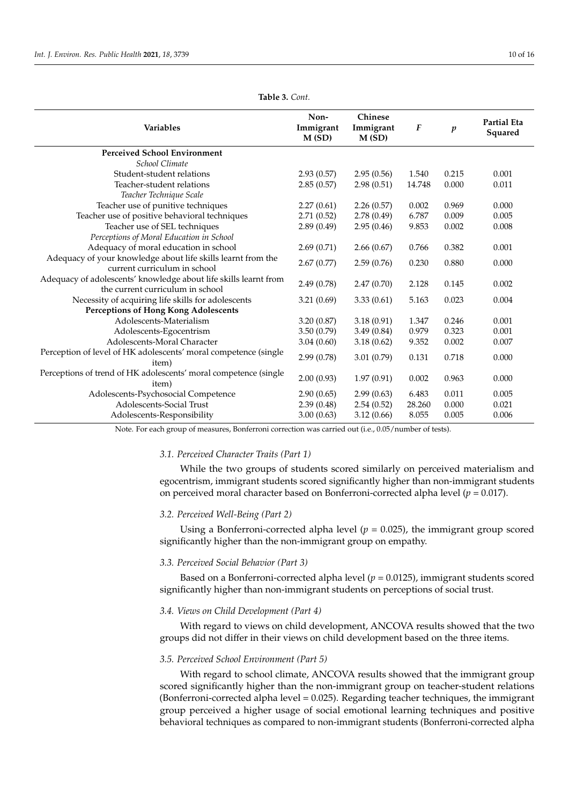<span id="page-9-0"></span>

| <b>Variables</b>                                                                                     | Non-<br>Immigrant<br>M(SD) | Chinese<br>Immigrant<br>M(SD) | $\boldsymbol{F}$ | $\boldsymbol{p}$ | <b>Partial Eta</b><br>Squared |
|------------------------------------------------------------------------------------------------------|----------------------------|-------------------------------|------------------|------------------|-------------------------------|
| <b>Perceived School Environment</b>                                                                  |                            |                               |                  |                  |                               |
| School Climate                                                                                       |                            |                               |                  |                  |                               |
| Student-student relations                                                                            | 2.93(0.57)                 | 2.95(0.56)                    | 1.540            | 0.215            | 0.001                         |
| Teacher-student relations                                                                            | 2.85(0.57)                 | 2.98(0.51)                    | 14.748           | 0.000            | 0.011                         |
| Teacher Technique Scale                                                                              |                            |                               |                  |                  |                               |
| Teacher use of punitive techniques                                                                   | 2.27(0.61)                 | 2.26(0.57)                    | 0.002            | 0.969            | 0.000                         |
| Teacher use of positive behavioral techniques                                                        | 2.71(0.52)                 | 2.78(0.49)                    | 6.787            | 0.009            | 0.005                         |
| Teacher use of SEL techniques                                                                        | 2.89(0.49)                 | 2.95(0.46)                    | 9.853            | 0.002            | 0.008                         |
| Perceptions of Moral Education in School                                                             |                            |                               |                  |                  |                               |
| Adequacy of moral education in school                                                                | 2.69(0.71)                 | 2.66(0.67)                    | 0.766            | 0.382            | 0.001                         |
| Adequacy of your knowledge about life skills learnt from the<br>current curriculum in school         | 2.67(0.77)                 | 2.59(0.76)                    | 0.230            | 0.880            | 0.000                         |
| Adequacy of adolescents' knowledge about life skills learnt from<br>the current curriculum in school | 2.49(0.78)                 | 2.47(0.70)                    | 2.128            | 0.145            | 0.002                         |
| Necessity of acquiring life skills for adolescents                                                   | 3.21(0.69)                 | 3.33(0.61)                    | 5.163            | 0.023            | 0.004                         |
| <b>Perceptions of Hong Kong Adolescents</b>                                                          |                            |                               |                  |                  |                               |
| Adolescents-Materialism                                                                              | 3.20(0.87)                 | 3.18(0.91)                    | 1.347            | 0.246            | 0.001                         |
| Adolescents-Egocentrism                                                                              | 3.50(0.79)                 | 3.49(0.84)                    | 0.979            | 0.323            | 0.001                         |
| Adolescents-Moral Character                                                                          | 3.04(0.60)                 | 3.18(0.62)                    | 9.352            | 0.002            | 0.007                         |
| Perception of level of HK adolescents' moral competence (single<br>item)                             | 2.99(0.78)                 | 3.01(0.79)                    | 0.131            | 0.718            | 0.000                         |
| Perceptions of trend of HK adolescents' moral competence (single<br>item)                            | 2.00(0.93)                 | 1.97(0.91)                    | 0.002            | 0.963            | 0.000                         |
| Adolescents-Psychosocial Competence                                                                  | 2.90(0.65)                 | 2.99(0.63)                    | 6.483            | 0.011            | 0.005                         |
| Adolescents-Social Trust                                                                             | 2.39(0.48)                 | 2.54(0.52)                    | 28.260           | 0.000            | 0.021                         |
| Adolescents-Responsibility                                                                           | 3.00(0.63)                 | 3.12(0.66)                    | 8.055            | 0.005            | 0.006                         |

**Table 3.** *Cont.*

Note. For each group of measures, Bonferroni correction was carried out (i.e., 0.05/number of tests).

# *3.1. Perceived Character Traits (Part 1)*

While the two groups of students scored similarly on perceived materialism and egocentrism, immigrant students scored significantly higher than non-immigrant students on perceived moral character based on Bonferroni-corrected alpha level (*p* = 0.017).

#### *3.2. Perceived Well-Being (Part 2)*

Using a Bonferroni-corrected alpha level  $(p = 0.025)$ , the immigrant group scored significantly higher than the non-immigrant group on empathy.

# *3.3. Perceived Social Behavior (Part 3)*

Based on a Bonferroni-corrected alpha level  $(p = 0.0125)$ , immigrant students scored significantly higher than non-immigrant students on perceptions of social trust.

## *3.4. Views on Child Development (Part 4)*

With regard to views on child development, ANCOVA results showed that the two groups did not differ in their views on child development based on the three items.

#### *3.5. Perceived School Environment (Part 5)*

With regard to school climate, ANCOVA results showed that the immigrant group scored significantly higher than the non-immigrant group on teacher-student relations (Bonferroni-corrected alpha level = 0.025). Regarding teacher techniques, the immigrant group perceived a higher usage of social emotional learning techniques and positive behavioral techniques as compared to non-immigrant students (Bonferroni-corrected alpha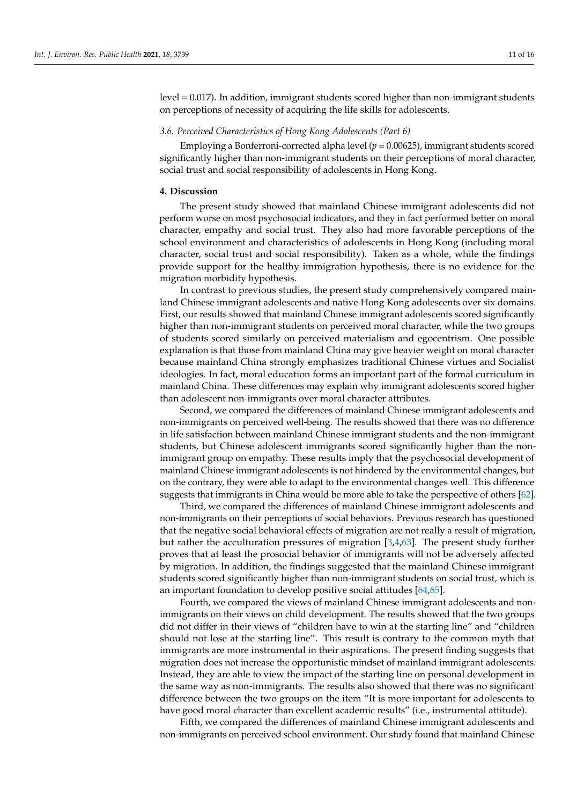level = 0.017). In addition, immigrant students scored higher than non-immigrant students on perceptions of necessity of acquiring the life skills for adolescents.

# *3.6. Perceived Characteristics of Hong Kong Adolescents (Part 6)*

Employing a Bonferroni-corrected alpha level  $(p = 0.00625)$ , immigrant students scored significantly higher than non-immigrant students on their perceptions of moral character, social trust and social responsibility of adolescents in Hong Kong.

#### **4. Discussion**

The present study showed that mainland Chinese immigrant adolescents did not perform worse on most psychosocial indicators, and they in fact performed better on moral character, empathy and social trust. They also had more favorable perceptions of the school environment and characteristics of adolescents in Hong Kong (including moral character, social trust and social responsibility). Taken as a whole, while the findings provide support for the healthy immigration hypothesis, there is no evidence for the migration morbidity hypothesis.

In contrast to previous studies, the present study comprehensively compared mainland Chinese immigrant adolescents and native Hong Kong adolescents over six domains. First, our results showed that mainland Chinese immigrant adolescents scored significantly higher than non-immigrant students on perceived moral character, while the two groups of students scored similarly on perceived materialism and egocentrism. One possible explanation is that those from mainland China may give heavier weight on moral character because mainland China strongly emphasizes traditional Chinese virtues and Socialist ideologies. In fact, moral education forms an important part of the formal curriculum in mainland China. These differences may explain why immigrant adolescents scored higher than adolescent non-immigrants over moral character attributes.

Second, we compared the differences of mainland Chinese immigrant adolescents and non-immigrants on perceived well-being. The results showed that there was no difference in life satisfaction between mainland Chinese immigrant students and the non-immigrant students, but Chinese adolescent immigrants scored significantly higher than the nonimmigrant group on empathy. These results imply that the psychosocial development of mainland Chinese immigrant adolescents is not hindered by the environmental changes, but on the contrary, they were able to adapt to the environmental changes well. This difference suggests that immigrants in China would be more able to take the perspective of others [\[62\]](#page-15-9).

Third, we compared the differences of mainland Chinese immigrant adolescents and non-immigrants on their perceptions of social behaviors. Previous research has questioned that the negative social behavioral effects of migration are not really a result of migration, but rather the acculturation pressures of migration [\[3,](#page-13-18)[4,](#page-13-13)[63\]](#page-15-10). The present study further proves that at least the prosocial behavior of immigrants will not be adversely affected by migration. In addition, the findings suggested that the mainland Chinese immigrant students scored significantly higher than non-immigrant students on social trust, which is an important foundation to develop positive social attitudes [\[64,](#page-15-11)[65\]](#page-15-12).

Fourth, we compared the views of mainland Chinese immigrant adolescents and nonimmigrants on their views on child development. The results showed that the two groups did not differ in their views of "children have to win at the starting line" and "children should not lose at the starting line". This result is contrary to the common myth that immigrants are more instrumental in their aspirations. The present finding suggests that migration does not increase the opportunistic mindset of mainland immigrant adolescents. Instead, they are able to view the impact of the starting line on personal development in the same way as non-immigrants. The results also showed that there was no significant difference between the two groups on the item "It is more important for adolescents to have good moral character than excellent academic results" (i.e., instrumental attitude).

Fifth, we compared the differences of mainland Chinese immigrant adolescents and non-immigrants on perceived school environment. Our study found that mainland Chinese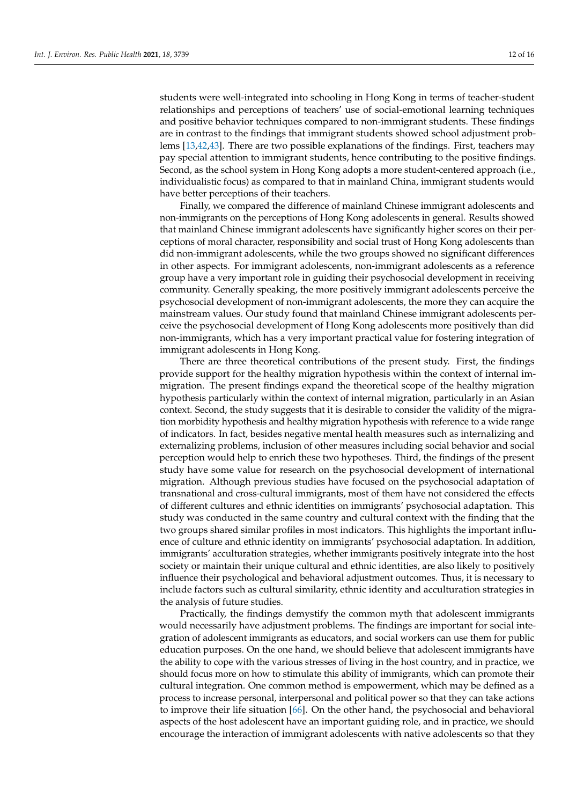students were well-integrated into schooling in Hong Kong in terms of teacher-student relationships and perceptions of teachers' use of social-emotional learning techniques and positive behavior techniques compared to non-immigrant students. These findings are in contrast to the findings that immigrant students showed school adjustment problems [\[13](#page-13-7)[,42](#page-14-19)[,43\]](#page-14-20). There are two possible explanations of the findings. First, teachers may pay special attention to immigrant students, hence contributing to the positive findings. Second, as the school system in Hong Kong adopts a more student-centered approach (i.e., individualistic focus) as compared to that in mainland China, immigrant students would have better perceptions of their teachers.

Finally, we compared the difference of mainland Chinese immigrant adolescents and non-immigrants on the perceptions of Hong Kong adolescents in general. Results showed that mainland Chinese immigrant adolescents have significantly higher scores on their perceptions of moral character, responsibility and social trust of Hong Kong adolescents than did non-immigrant adolescents, while the two groups showed no significant differences in other aspects. For immigrant adolescents, non-immigrant adolescents as a reference group have a very important role in guiding their psychosocial development in receiving community. Generally speaking, the more positively immigrant adolescents perceive the psychosocial development of non-immigrant adolescents, the more they can acquire the mainstream values. Our study found that mainland Chinese immigrant adolescents perceive the psychosocial development of Hong Kong adolescents more positively than did non-immigrants, which has a very important practical value for fostering integration of immigrant adolescents in Hong Kong.

There are three theoretical contributions of the present study. First, the findings provide support for the healthy migration hypothesis within the context of internal immigration. The present findings expand the theoretical scope of the healthy migration hypothesis particularly within the context of internal migration, particularly in an Asian context. Second, the study suggests that it is desirable to consider the validity of the migration morbidity hypothesis and healthy migration hypothesis with reference to a wide range of indicators. In fact, besides negative mental health measures such as internalizing and externalizing problems, inclusion of other measures including social behavior and social perception would help to enrich these two hypotheses. Third, the findings of the present study have some value for research on the psychosocial development of international migration. Although previous studies have focused on the psychosocial adaptation of transnational and cross-cultural immigrants, most of them have not considered the effects of different cultures and ethnic identities on immigrants' psychosocial adaptation. This study was conducted in the same country and cultural context with the finding that the two groups shared similar profiles in most indicators. This highlights the important influence of culture and ethnic identity on immigrants' psychosocial adaptation. In addition, immigrants' acculturation strategies, whether immigrants positively integrate into the host society or maintain their unique cultural and ethnic identities, are also likely to positively influence their psychological and behavioral adjustment outcomes. Thus, it is necessary to include factors such as cultural similarity, ethnic identity and acculturation strategies in the analysis of future studies.

Practically, the findings demystify the common myth that adolescent immigrants would necessarily have adjustment problems. The findings are important for social integration of adolescent immigrants as educators, and social workers can use them for public education purposes. On the one hand, we should believe that adolescent immigrants have the ability to cope with the various stresses of living in the host country, and in practice, we should focus more on how to stimulate this ability of immigrants, which can promote their cultural integration. One common method is empowerment, which may be defined as a process to increase personal, interpersonal and political power so that they can take actions to improve their life situation [\[66\]](#page-15-13). On the other hand, the psychosocial and behavioral aspects of the host adolescent have an important guiding role, and in practice, we should encourage the interaction of immigrant adolescents with native adolescents so that they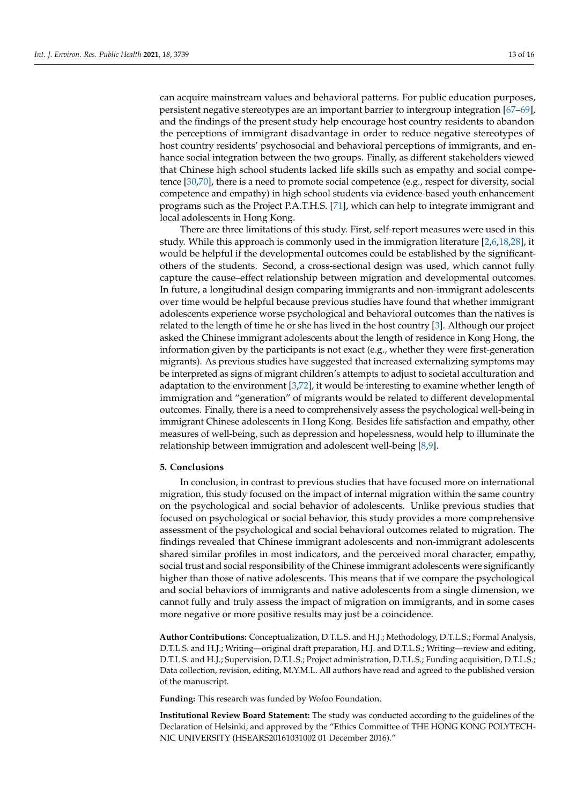can acquire mainstream values and behavioral patterns. For public education purposes, persistent negative stereotypes are an important barrier to intergroup integration [\[67–](#page-15-14)[69\]](#page-15-15), and the findings of the present study help encourage host country residents to abandon the perceptions of immigrant disadvantage in order to reduce negative stereotypes of host country residents' psychosocial and behavioral perceptions of immigrants, and enhance social integration between the two groups. Finally, as different stakeholders viewed that Chinese high school students lacked life skills such as empathy and social competence [\[30](#page-14-7)[,70\]](#page-15-16), there is a need to promote social competence (e.g., respect for diversity, social competence and empathy) in high school students via evidence-based youth enhancement programs such as the Project P.A.T.H.S. [\[71\]](#page-15-17), which can help to integrate immigrant and local adolescents in Hong Kong.

There are three limitations of this study. First, self-report measures were used in this study. While this approach is commonly used in the immigration literature [\[2,](#page-13-1)[6,](#page-13-2)[18,](#page-13-12)[28\]](#page-14-5), it would be helpful if the developmental outcomes could be established by the significantothers of the students. Second, a cross-sectional design was used, which cannot fully capture the cause–effect relationship between migration and developmental outcomes. In future, a longitudinal design comparing immigrants and non-immigrant adolescents over time would be helpful because previous studies have found that whether immigrant adolescents experience worse psychological and behavioral outcomes than the natives is related to the length of time he or she has lived in the host country [\[3\]](#page-13-18). Although our project asked the Chinese immigrant adolescents about the length of residence in Kong Hong, the information given by the participants is not exact (e.g., whether they were first-generation migrants). As previous studies have suggested that increased externalizing symptoms may be interpreted as signs of migrant children's attempts to adjust to societal acculturation and adaptation to the environment [\[3](#page-13-18)[,72\]](#page-15-18), it would be interesting to examine whether length of immigration and "generation" of migrants would be related to different developmental outcomes. Finally, there is a need to comprehensively assess the psychological well-being in immigrant Chinese adolescents in Hong Kong. Besides life satisfaction and empathy, other measures of well-being, such as depression and hopelessness, would help to illuminate the relationship between immigration and adolescent well-being [\[8](#page-13-19)[,9\]](#page-13-20).

# **5. Conclusions**

In conclusion, in contrast to previous studies that have focused more on international migration, this study focused on the impact of internal migration within the same country on the psychological and social behavior of adolescents. Unlike previous studies that focused on psychological or social behavior, this study provides a more comprehensive assessment of the psychological and social behavioral outcomes related to migration. The findings revealed that Chinese immigrant adolescents and non-immigrant adolescents shared similar profiles in most indicators, and the perceived moral character, empathy, social trust and social responsibility of the Chinese immigrant adolescents were significantly higher than those of native adolescents. This means that if we compare the psychological and social behaviors of immigrants and native adolescents from a single dimension, we cannot fully and truly assess the impact of migration on immigrants, and in some cases more negative or more positive results may just be a coincidence.

**Author Contributions:** Conceptualization, D.T.L.S. and H.J.; Methodology, D.T.L.S.; Formal Analysis, D.T.L.S. and H.J.; Writing—original draft preparation, H.J. and D.T.L.S.; Writing—review and editing, D.T.L.S. and H.J.; Supervision, D.T.L.S.; Project administration, D.T.L.S.; Funding acquisition, D.T.L.S.; Data collection, revision, editing, M.Y.M.L. All authors have read and agreed to the published version of the manuscript.

**Funding:** This research was funded by Wofoo Foundation.

**Institutional Review Board Statement:** The study was conducted according to the guidelines of the Declaration of Helsinki, and approved by the "Ethics Committee of THE HONG KONG POLYTECH-NIC UNIVERSITY (HSEARS20161031002 01 December 2016)."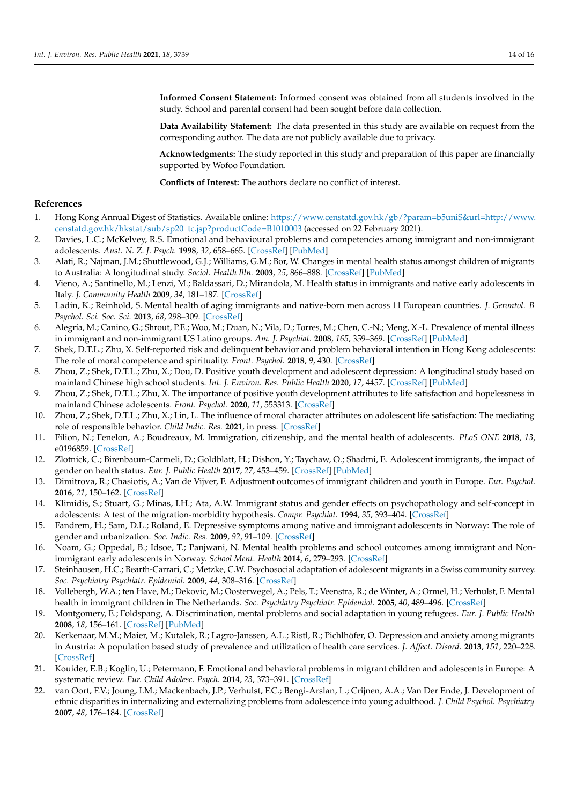**Informed Consent Statement:** Informed consent was obtained from all students involved in the study. School and parental consent had been sought before data collection.

**Data Availability Statement:** The data presented in this study are available on request from the corresponding author. The data are not publicly available due to privacy.

**Acknowledgments:** The study reported in this study and preparation of this paper are financially supported by Wofoo Foundation.

**Conflicts of Interest:** The authors declare no conflict of interest.

# **References**

- <span id="page-13-0"></span>1. Hong Kong Annual Digest of Statistics. Available online: [https://www.censtatd.gov.hk/gb/?param=b5uniS&url=http://www.](https://www.censtatd.gov.hk/gb/?param=b5uniS&url=http://www.censtatd.gov.hk/hkstat/sub/sp20_tc.jsp?productCode=B1010003) [censtatd.gov.hk/hkstat/sub/sp20\\_tc.jsp?productCode=B1010003](https://www.censtatd.gov.hk/gb/?param=b5uniS&url=http://www.censtatd.gov.hk/hkstat/sub/sp20_tc.jsp?productCode=B1010003) (accessed on 22 February 2021).
- <span id="page-13-1"></span>2. Davies, L.C.; McKelvey, R.S. Emotional and behavioural problems and competencies among immigrant and non-immigrant adolescents. *Aust. N. Z. J. Psych.* **1998**, *32*, 658–665. [\[CrossRef\]](http://doi.org/10.3109/00048679809113120) [\[PubMed\]](http://www.ncbi.nlm.nih.gov/pubmed/9805588)
- <span id="page-13-18"></span>3. Alati, R.; Najman, J.M.; Shuttlewood, G.J.; Williams, G.M.; Bor, W. Changes in mental health status amongst children of migrants to Australia: A longitudinal study. *Sociol. Health Illn.* **2003**, *25*, 866–888. [\[CrossRef\]](http://doi.org/10.1046/j.1467-9566.2003.00373.x) [\[PubMed\]](http://www.ncbi.nlm.nih.gov/pubmed/19774750)
- <span id="page-13-13"></span>4. Vieno, A.; Santinello, M.; Lenzi, M.; Baldassari, D.; Mirandola, M. Health status in immigrants and native early adolescents in Italy. *J. Community Health* **2009**, *34*, 181–187. [\[CrossRef\]](http://doi.org/10.1007/s10900-008-9144-2)
- 5. Ladin, K.; Reinhold, S. Mental health of aging immigrants and native-born men across 11 European countries. *J. Gerontol. B Psychol. Sci. Soc. Sci.* **2013**, *68*, 298–309. [\[CrossRef\]](http://doi.org/10.1093/geronb/gbs163)
- <span id="page-13-2"></span>6. Alegría, M.; Canino, G.; Shrout, P.E.; Woo, M.; Duan, N.; Vila, D.; Torres, M.; Chen, C.-N.; Meng, X.-L. Prevalence of mental illness in immigrant and non-immigrant US Latino groups. *Am. J. Psychiat.* **2008**, *165*, 359–369. [\[CrossRef\]](http://doi.org/10.1176/appi.ajp.2007.07040704) [\[PubMed\]](http://www.ncbi.nlm.nih.gov/pubmed/18245178)
- <span id="page-13-3"></span>7. Shek, D.T.L.; Zhu, X. Self-reported risk and delinquent behavior and problem behavioral intention in Hong Kong adolescents: The role of moral competence and spirituality. *Front. Psychol.* **2018**, *9*, 430. [\[CrossRef\]](http://doi.org/10.3389/fpsyg.2018.00430)
- <span id="page-13-19"></span>8. Zhou, Z.; Shek, D.T.L.; Zhu, X.; Dou, D. Positive youth development and adolescent depression: A longitudinal study based on mainland Chinese high school students. *Int. J. Environ. Res. Public Health* **2020**, *17*, 4457. [\[CrossRef\]](http://doi.org/10.3390/ijerph17124457) [\[PubMed\]](http://www.ncbi.nlm.nih.gov/pubmed/32575856)
- <span id="page-13-20"></span>9. Zhou, Z.; Shek, D.T.L.; Zhu, X. The importance of positive youth development attributes to life satisfaction and hopelessness in mainland Chinese adolescents. *Front. Psychol.* **2020**, *11*, 553313. [\[CrossRef\]](http://doi.org/10.3389/fpsyg.2020.553313)
- <span id="page-13-4"></span>10. Zhou, Z.; Shek, D.T.L.; Zhu, X.; Lin, L. The influence of moral character attributes on adolescent life satisfaction: The mediating role of responsible behavior. *Child Indic. Res.* **2021**, in press. [\[CrossRef\]](http://doi.org/10.1007/s12187-020-09797-7)
- <span id="page-13-5"></span>11. Filion, N.; Fenelon, A.; Boudreaux, M. Immigration, citizenship, and the mental health of adolescents. *PLoS ONE* **2018**, *13*, e0196859. [\[CrossRef\]](http://doi.org/10.1371/journal.pone.0196859)
- <span id="page-13-6"></span>12. Zlotnick, C.; Birenbaum-Carmeli, D.; Goldblatt, H.; Dishon, Y.; Taychaw, O.; Shadmi, E. Adolescent immigrants, the impact of gender on health status. *Eur. J. Public Health* **2017**, *27*, 453–459. [\[CrossRef\]](http://doi.org/10.1093/eurpub/ckw208) [\[PubMed\]](http://www.ncbi.nlm.nih.gov/pubmed/27836970)
- <span id="page-13-7"></span>13. Dimitrova, R.; Chasiotis, A.; Van de Vijver, F. Adjustment outcomes of immigrant children and youth in Europe. *Eur. Psychol.* **2016**, *21*, 150–162. [\[CrossRef\]](http://doi.org/10.1027/1016-9040/a000246)
- <span id="page-13-8"></span>14. Klimidis, S.; Stuart, G.; Minas, I.H.; Ata, A.W. Immigrant status and gender effects on psychopathology and self-concept in adolescents: A test of the migration-morbidity hypothesis. *Compr. Psychiat.* **1994**, *35*, 393–404. [\[CrossRef\]](http://doi.org/10.1016/0010-440X(94)90281-X)
- <span id="page-13-9"></span>15. Fandrem, H.; Sam, D.L.; Roland, E. Depressive symptoms among native and immigrant adolescents in Norway: The role of gender and urbanization. *Soc. Indic. Res.* **2009**, *92*, 91–109. [\[CrossRef\]](http://doi.org/10.1007/s11205-008-9291-y)
- <span id="page-13-10"></span>16. Noam, G.; Oppedal, B.; Idsoe, T.; Panjwani, N. Mental health problems and school outcomes among immigrant and Nonimmigrant early adolescents in Norway. *School Ment. Health* **2014**, *6*, 279–293. [\[CrossRef\]](http://doi.org/10.1007/s12310-014-9129-5)
- <span id="page-13-11"></span>17. Steinhausen, H.C.; Bearth-Carrari, C.; Metzke, C.W. Psychosocial adaptation of adolescent migrants in a Swiss community survey. *Soc. Psychiatry Psychiatr. Epidemiol.* **2009**, *44*, 308–316. [\[CrossRef\]](http://doi.org/10.1007/s00127-008-0437-7)
- <span id="page-13-12"></span>18. Vollebergh, W.A.; ten Have, M.; Dekovic, M.; Oosterwegel, A.; Pels, T.; Veenstra, R.; de Winter, A.; Ormel, H.; Verhulst, F. Mental health in immigrant children in The Netherlands. *Soc. Psychiatry Psychiatr. Epidemiol.* **2005**, *40*, 489–496. [\[CrossRef\]](http://doi.org/10.1007/s00127-005-0906-1)
- <span id="page-13-14"></span>19. Montgomery, E.; Foldspang, A. Discrimination, mental problems and social adaptation in young refugees. *Eur. J. Public Health* **2008**, *18*, 156–161. [\[CrossRef\]](http://doi.org/10.1093/eurpub/ckm073) [\[PubMed\]](http://www.ncbi.nlm.nih.gov/pubmed/17631490)
- <span id="page-13-15"></span>20. Kerkenaar, M.M.; Maier, M.; Kutalek, R.; Lagro-Janssen, A.L.; Ristl, R.; Pichlhöfer, O. Depression and anxiety among migrants in Austria: A population based study of prevalence and utilization of health care services. *J. Affect. Disord.* **2013**, *151*, 220–228. [\[CrossRef\]](http://doi.org/10.1016/j.jad.2013.05.081)
- <span id="page-13-16"></span>21. Kouider, E.B.; Koglin, U.; Petermann, F. Emotional and behavioral problems in migrant children and adolescents in Europe: A systematic review. *Eur. Child Adolesc. Psych.* **2014**, *23*, 373–391. [\[CrossRef\]](http://doi.org/10.1007/s00787-013-0485-8)
- <span id="page-13-17"></span>22. van Oort, F.V.; Joung, I.M.; Mackenbach, J.P.; Verhulst, F.C.; Bengi-Arslan, L.; Crijnen, A.A.; Van Der Ende, J. Development of ethnic disparities in internalizing and externalizing problems from adolescence into young adulthood. *J. Child Psychol. Psychiatry* **2007**, *48*, 176–184. [\[CrossRef\]](http://doi.org/10.1111/j.1469-7610.2006.01706.x)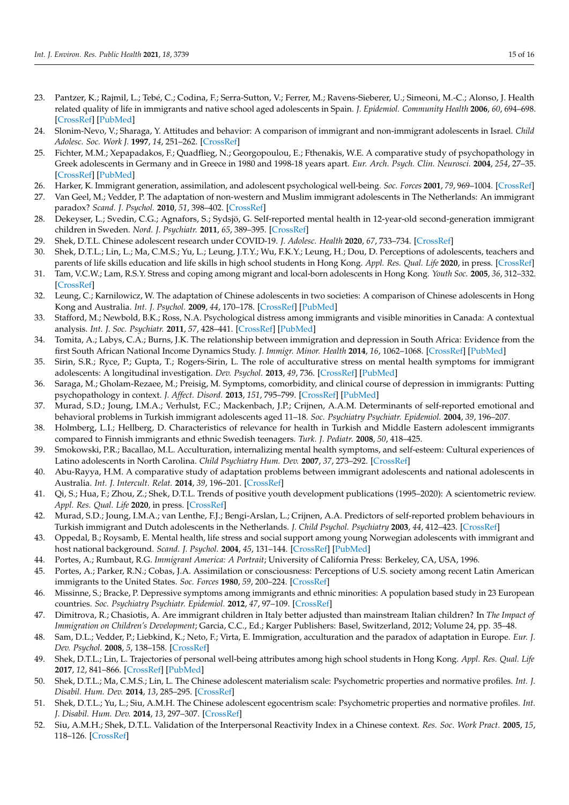- <span id="page-14-0"></span>23. Pantzer, K.; Rajmil, L.; Tebé, C.; Codina, F.; Serra-Sutton, V.; Ferrer, M.; Ravens-Sieberer, U.; Simeoni, M.-C.; Alonso, J. Health related quality of life in immigrants and native school aged adolescents in Spain. *J. Epidemiol. Community Health* **2006**, *60*, 694–698. [\[CrossRef\]](http://doi.org/10.1136/jech.2005.044073) [\[PubMed\]](http://www.ncbi.nlm.nih.gov/pubmed/16840759)
- <span id="page-14-1"></span>24. Slonim-Nevo, V.; Sharaga, Y. Attitudes and behavior: A comparison of immigrant and non-immigrant adolescents in Israel. *Child Adolesc. Soc. Work J.* **1997**, *14*, 251–262. [\[CrossRef\]](http://doi.org/10.1023/A:1024542224713)
- <span id="page-14-2"></span>25. Fichter, M.M.; Xepapadakos, F.; Quadflieg, N.; Georgopoulou, E.; Fthenakis, W.E. A comparative study of psychopathology in Greek adolescents in Germany and in Greece in 1980 and 1998-18 years apart. *Eur. Arch. Psych. Clin. Neurosci.* **2004**, *254*, 27–35. [\[CrossRef\]](http://doi.org/10.1007/s00406-004-0450-0) [\[PubMed\]](http://www.ncbi.nlm.nih.gov/pubmed/14991376)
- <span id="page-14-3"></span>26. Harker, K. Immigrant generation, assimilation, and adolescent psychological well-being. *Soc. Forces* **2001**, *79*, 969–1004. [\[CrossRef\]](http://doi.org/10.1353/sof.2001.0010)
- <span id="page-14-4"></span>27. Van Geel, M.; Vedder, P. The adaptation of non-western and Muslim immigrant adolescents in The Netherlands: An immigrant paradox? *Scand. J. Psychol.* **2010**, *51*, 398–402. [\[CrossRef\]](http://doi.org/10.1111/j.1467-9450.2010.00831.x)
- <span id="page-14-5"></span>28. Dekeyser, L.; Svedin, C.G.; Agnafors, S.; Sydsjö, G. Self-reported mental health in 12-year-old second-generation immigrant children in Sweden. *Nord. J. Psychiatr.* **2011**, *65*, 389–395. [\[CrossRef\]](http://doi.org/10.3109/08039488.2011.566936)
- <span id="page-14-6"></span>29. Shek, D.T.L. Chinese adolescent research under COVID-19. *J. Adolesc. Health* **2020**, *67*, 733–734. [\[CrossRef\]](http://doi.org/10.1016/j.jadohealth.2020.09.011)
- <span id="page-14-7"></span>30. Shek, D.T.L.; Lin, L.; Ma, C.M.S.; Yu, L.; Leung, J.T.Y.; Wu, F.K.Y.; Leung, H.; Dou, D. Perceptions of adolescents, teachers and parents of life skills education and life skills in high school students in Hong Kong. *Appl. Res. Qual. Life* **2020**, in press. [\[CrossRef\]](http://doi.org/10.1007/s11482-020-09848-9)
- <span id="page-14-8"></span>31. Tam, V.C.W.; Lam, R.S.Y. Stress and coping among migrant and local-born adolescents in Hong Kong. *Youth Soc.* **2005**, *36*, 312–332. [\[CrossRef\]](http://doi.org/10.1177/0044118X04265092)
- <span id="page-14-9"></span>32. Leung, C.; Karnilowicz, W. The adaptation of Chinese adolescents in two societies: A comparison of Chinese adolescents in Hong Kong and Australia. *Int. J. Psychol.* **2009**, *44*, 170–178. [\[CrossRef\]](http://doi.org/10.1080/00207590701656150) [\[PubMed\]](http://www.ncbi.nlm.nih.gov/pubmed/22029492)
- <span id="page-14-10"></span>33. Stafford, M.; Newbold, B.K.; Ross, N.A. Psychological distress among immigrants and visible minorities in Canada: A contextual analysis. *Int. J. Soc. Psychiatr.* **2011**, *57*, 428–441. [\[CrossRef\]](http://doi.org/10.1177/0020764010365407) [\[PubMed\]](http://www.ncbi.nlm.nih.gov/pubmed/20378661)
- <span id="page-14-11"></span>34. Tomita, A.; Labys, C.A.; Burns, J.K. The relationship between immigration and depression in South Africa: Evidence from the first South African National Income Dynamics Study. *J. Immigr. Minor. Health* **2014**, *16*, 1062–1068. [\[CrossRef\]](http://doi.org/10.1007/s10903-014-9987-9) [\[PubMed\]](http://www.ncbi.nlm.nih.gov/pubmed/24526432)
- <span id="page-14-12"></span>35. Sirin, S.R.; Ryce, P.; Gupta, T.; Rogers-Sirin, L. The role of acculturative stress on mental health symptoms for immigrant adolescents: A longitudinal investigation. *Dev. Psychol.* **2013**, *49*, 736. [\[CrossRef\]](http://doi.org/10.1037/a0028398) [\[PubMed\]](http://www.ncbi.nlm.nih.gov/pubmed/22563676)
- <span id="page-14-13"></span>36. Saraga, M.; Gholam-Rezaee, M.; Preisig, M. Symptoms, comorbidity, and clinical course of depression in immigrants: Putting psychopathology in context. *J. Affect. Disord.* **2013**, *151*, 795–799. [\[CrossRef\]](http://doi.org/10.1016/j.jad.2013.07.001) [\[PubMed\]](http://www.ncbi.nlm.nih.gov/pubmed/23931829)
- <span id="page-14-14"></span>37. Murad, S.D.; Joung, I.M.A.; Verhulst, F.C.; Mackenbach, J.P.; Crijnen, A.A.M. Determinants of self-reported emotional and behavioral problems in Turkish immigrant adolescents aged 11–18. *Soc. Psychiatry Psychiatr. Epidemiol.* **2004**, *39*, 196–207.
- <span id="page-14-15"></span>38. Holmberg, L.I.; Hellberg, D. Characteristics of relevance for health in Turkish and Middle Eastern adolescent immigrants compared to Finnish immigrants and ethnic Swedish teenagers. *Turk. J. Pediatr.* **2008**, *50*, 418–425.
- <span id="page-14-16"></span>39. Smokowski, P.R.; Bacallao, M.L. Acculturation, internalizing mental health symptoms, and self-esteem: Cultural experiences of Latino adolescents in North Carolina. *Child Psychiatry Hum. Dev.* **2007**, *37*, 273–292. [\[CrossRef\]](http://doi.org/10.1007/s10578-006-0035-4)
- <span id="page-14-17"></span>40. Abu-Rayya, H.M. A comparative study of adaptation problems between immigrant adolescents and national adolescents in Australia. *Int. J. Intercult. Relat.* **2014**, *39*, 196–201. [\[CrossRef\]](http://doi.org/10.1016/j.ijintrel.2013.11.005)
- <span id="page-14-18"></span>41. Qi, S.; Hua, F.; Zhou, Z.; Shek, D.T.L. Trends of positive youth development publications (1995–2020): A scientometric review. *Appl. Res. Qual. Life* **2020**, in press. [\[CrossRef\]](http://doi.org/10.1007/s11482-020-09878-3)
- <span id="page-14-19"></span>42. Murad, S.D.; Joung, I.M.A.; van Lenthe, F.J.; Bengi-Arslan, L.; Crijnen, A.A. Predictors of self-reported problem behaviours in Turkish immigrant and Dutch adolescents in the Netherlands. *J. Child Psychol. Psychiatry* **2003**, *44*, 412–423. [\[CrossRef\]](http://doi.org/10.1111/1469-7610.00131)
- <span id="page-14-20"></span>43. Oppedal, B.; Roysamb, E. Mental health, life stress and social support among young Norwegian adolescents with immigrant and host national background. *Scand. J. Psychol.* **2004**, *45*, 131–144. [\[CrossRef\]](http://doi.org/10.1111/j.1467-9450.2004.00388.x) [\[PubMed\]](http://www.ncbi.nlm.nih.gov/pubmed/15016267)
- <span id="page-14-21"></span>44. Portes, A.; Rumbaut, R.G. *Immigrant America: A Portrait*; University of California Press: Berkeley, CA, USA, 1996.
- <span id="page-14-22"></span>45. Portes, A.; Parker, R.N.; Cobas, J.A. Assimilation or consciousness: Perceptions of U.S. society among recent Latin American immigrants to the United States. *Soc. Forces* **1980**, *59*, 200–224. [\[CrossRef\]](http://doi.org/10.2307/2577841)
- <span id="page-14-23"></span>46. Missinne, S.; Bracke, P. Depressive symptoms among immigrants and ethnic minorities: A population based study in 23 European countries. *Soc. Psychiatry Psychiatr. Epidemiol.* **2012**, *47*, 97–109. [\[CrossRef\]](http://doi.org/10.1007/s00127-010-0321-0)
- <span id="page-14-24"></span>47. Dimitrova, R.; Chasiotis, A. Are immigrant children in Italy better adjusted than mainstream Italian children? In *The Impact of Immigration on Children's Development*; Garcia, C.C., Ed.; Karger Publishers: Basel, Switzerland, 2012; Volume 24, pp. 35–48.
- <span id="page-14-25"></span>48. Sam, D.L.; Vedder, P.; Liebkind, K.; Neto, F.; Virta, E. Immigration, acculturation and the paradox of adaptation in Europe. *Eur. J. Dev. Psychol.* **2008**, *5*, 138–158. [\[CrossRef\]](http://doi.org/10.1080/17405620701563348)
- <span id="page-14-26"></span>49. Shek, D.T.L.; Lin, L. Trajectories of personal well-being attributes among high school students in Hong Kong. *Appl. Res. Qual. Life* **2017**, *12*, 841–866. [\[CrossRef\]](http://doi.org/10.1007/s11482-016-9492-5) [\[PubMed\]](http://www.ncbi.nlm.nih.gov/pubmed/29201250)
- <span id="page-14-27"></span>50. Shek, D.T.L.; Ma, C.M.S.; Lin, L. The Chinese adolescent materialism scale: Psychometric properties and normative profiles. *Int. J. Disabil. Hum. Dev.* **2014**, *13*, 285–295. [\[CrossRef\]](http://doi.org/10.1515/ijdhd-2014-0314)
- <span id="page-14-28"></span>51. Shek, D.T.L.; Yu, L.; Siu, A.M.H. The Chinese adolescent egocentrism scale: Psychometric properties and normative profiles. *Int. J. Disabil. Hum. Dev.* **2014**, *13*, 297–307. [\[CrossRef\]](http://doi.org/10.1515/ijdhd-2014-0315)
- <span id="page-14-29"></span>52. Siu, A.M.H.; Shek, D.T.L. Validation of the Interpersonal Reactivity Index in a Chinese context. *Res. Soc. Work Pract.* **2005**, *15*, 118–126. [\[CrossRef\]](http://doi.org/10.1177/1049731504270384)